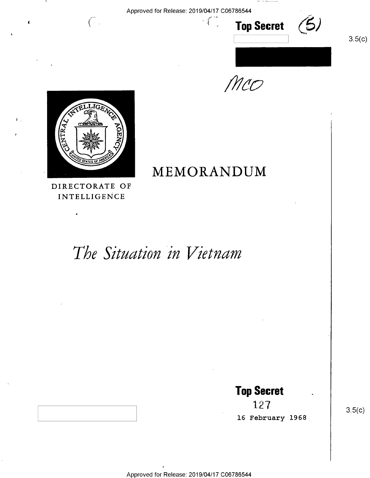Approved for Release: 2019/04/17 C06786544 -

 $i \in \mathbb{Z}^d$ 





/W40



 $\left($   $\right)$ 

INTELLIGENCE

A

# The Situation in Vietnam

**Top Secret**<br>127

16 February 1968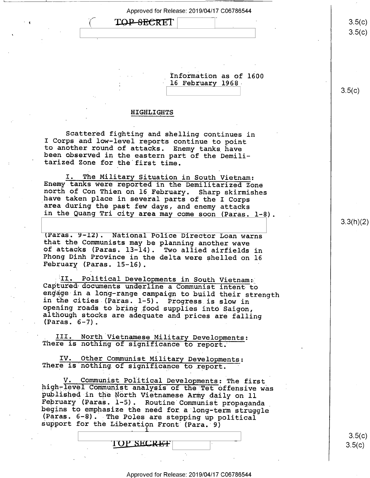Approved for Release: 2019/04/17 C06786544 TOP-SECRET

> \_ Information as of 1600 16 February 1968

#### HIGHLIGHTS

\

Scattered fighting and shelling continues in<br>I Corps and low-level reports continue to point to another round of attacks. Enemy tanks have been observed in the eastern part of the Demili-<br>tarized Zone for the first time.

I. The Military Situation in South Vietnam:<br>Enemy tanks were reported in the Demilitarized Zone<br>north of Con Thien on 16 February. Sharp skirmishes<br>have taken place in several parts of the I Corps<br>area during the past few

(Paras. 9-12). National Police Director Loan warns<br>that the Communists may be planning another wave<br>of attacks (Paras. 13-14). Two allied airfields in<br>Phong Dinh Province in the delta were shelled on 16<br>February (Paras. 1

II. Political Developments in South Vietnam:<br>Captured documents underline a Communist intent to<br>engage in a long-range campaign to build their strength<br>in the cities (Paras. 1-5). Progress is slow in<br>opening roads to bring

III. North Vietnamese Military Developments:<br>There is nothing of significance to report.

IV. Other Communist Military Developments: There is nothing.of significance to report. '

V. Communist Political Developments: The first<br>high-level Communist analysis of the Tet offensive was<br>published in the North Vietnamese Army daily on 11<br>February (Paras. 1-5). Routine Communist propaganda<br>begins to emphasi

TOP SECRET

3.3(h)(2)

 $3.5(c)$  $3.5 (c)$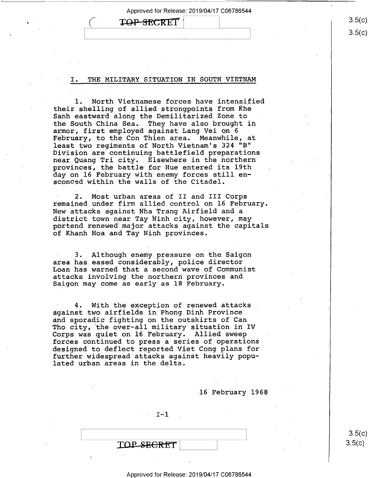# TOP-SECRET

#### THE MILITARY SITUATION IN SOUTH VIETNAM

1. North Vietnamese forces have intensified their shelling of allied strongpoints.from Khe Sanh eastward along the Demilitarized Zone to the South-China Sear, They have also brought in armor, first employed against Lang Vei on <sup>6</sup> February, to the Con Thien area. Meanwhile, at least two regiments of North Vietnam's 324 "B" Division are continuing battlefield preparations near Quang Tri city. Elsewhere in the northern provinces, the battle for Hue entered its 19th day on 16 February with enemy forces still ensconced within the walls of the Citadel.

2. Most urban areas of II and III Corps remained under firm allied control on 16 February. New attacks against Nha Trang Airfield and a<br>district town near Tay Ninh city, however, may portend renewed major attacks against the capitals of Khanh Hoa and Tay Ninh provinces.

3. Although enemy pressure on the Saigon area has eased-considerably, police director Loan has warned that a second wave of Communist attacks involving the northern provinces and Saigon may come as early as 18 February.

4. With the exception of renewed attacks. against two airfields in Phong Dinh Province<br>and sporadic fighting on the outskirts of Can Tho city, the over-all military situation in IV Corps was quiet on 16 February. Allied sweep forces continued to press a series of operations designed to deflect reported Viet Cong plans for further widespread attacks against heavily populated urban areas in the delta.

16 February 1968

 $I-1$ 

TOP SEGRET

#### Approved for Release: 2019/04/17 C06786544

3-5(C)  $3.5(c)$ 

 $3.5(c)$  $3.5(c)$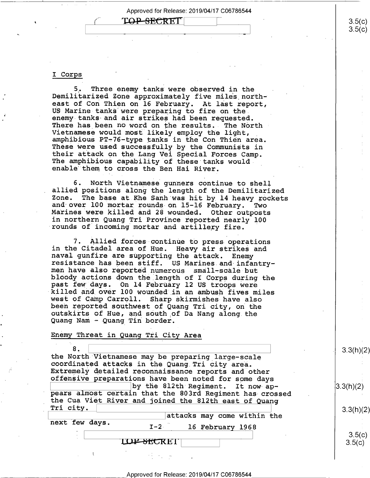## TOP SECRET

#### I corps \_

.

5. Three enemy tanks were observed in the<br>Demilitarized Zone approximately five miles north-<br>east of Con Thien on 16 February. At last report, US Marine tanks were preparing to fire on the.<br>enemy tanks and air strikes had been requested. There has been no word on the results. The North<br>Vietnamese would most likely employ the light, amphibious PT-76-type tanks in the Con Thien area.<br>These were used successfully by the Communists in their attack on the Lang Vei Special Forces Camp.<br>The amphibious capability of these tanks would<br>enable them to cross the Ben Hai River.

6. North Vietnamese gunners continue to shell allied positions along the length of the Demilitarized Zone. The base at Khe Sanh was hit by 14 heavy rockets and over 100 mortar rounds on 15-16 February. Two Marines were killed and 28 wounded. Other outposts in northern Quang Tri Province reported nearly 100 rounds of incoming mortar and artillery fire.

7. Allied forces continue to press operations<br>in the Citadel area of Hue. Heavy air strikes and naval gunfire are supporting the attack. Enemy<br>resistance has been stiff. US Marines and infantry-<br>men have also reported numerous small-scale but bloody actions down the length of I Corps during the past few days. On 14 February 12 US troops were killed and over 100 wounded in an ambush fives miles west of Camp Carroll. Sharp skirmishes have also<br>been reported southwest of Quang Tri city, on the<br>outskirts of Hue, and south of Da Nang along the<br>Quang Nam - Quang Tin border.

#### Enemy Threat in Quang Tri City Area

extra North Vietnamese may be preparing large-scale<br>
coordinated attacks in the Quang Tri city area.<br>
Extremely detailed reconnaissance reports and other<br>
offensive preparations have been noted for some days  $\begin{vmatrix} \text{by the 812th Regiment. It now ap-} \text{years almost certain that the 803rd Regiment has crossed} \end{vmatrix}$ the Cua Viet River and joined the 812th east of Quang<br>Tri city.  $\begin{array}{|l|} \hline \end{array}$  3.3(h)(2)

|                |  |                             | $\sim$ $\sim$ $\sim$ $\sim$ |
|----------------|--|-----------------------------|-----------------------------|
|                |  | attacks may come within the |                             |
| next few days. |  | 16 February 1968<br>$I-2$   |                             |
|                |  |                             | 3.5(c)                      |
|                |  | LOP-SECRET                  | 3.5(c)                      |
|                |  |                             |                             |

 $3.5(c)$ 

 $3.5(c)$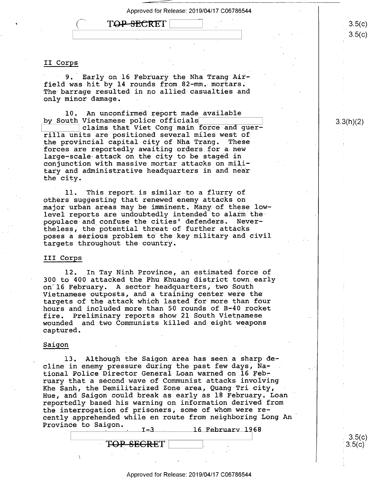"

# TOP-SECRET

#### II Corps

f,

9. Early on 16 February the Nha Trang Airfield was hit by 14 rounds from 82-mm. mortars. The barrage resulted in no allied-casualties and only minor damage. .

10. An unconfirmed report made available by South Vietnamese police officials

claims that Viet Cong main force and guerrilla units are positioned several miles west of the provincial capital city of Nha Trang. forces are reportedly awaiting orders\_for a new large—scale attack on the city to be staged in conjunction with massive mortar attacks on military and administrative headquarters in and near the city.

ll. 'This report is similar to a flurry of. others suggesting that renewed enemy.attacks on major urban areas may be imminent. Many of these lowlevel reports are undoubtedly intended to alarm the<br>- populace and confuse the cities' defenders. Neverpopulace and confuse the cities' defenders. theless, the potential threat of further attacks poses a serious problem to the key military and civil targets throughout the country.

#### III Corps <sup>1</sup>

l2. In Tay Ninh Province, an estimated force of 300 to 400 attacked the Phu Khuang district town early on l6 February. A sector headquarters, two South Vietnamese outposts, and a training center were the targets of the attack which lasted for more than four hours and included more than 50 rounds of B-40 rocket fire. Preliminary reports show 21 South Vietnamese wounded and two Communists killed and eight weapons captured. '

#### Saigon

 $\mathbb{R}^+$ 

l3. Although the Saigon area has seen a sharp decline in enemy pressure during the past few days, National Police Director General Loan warned on 16 February that a second wave of Communist attacks involving Khe Sanh, the Demilitarized Zone area, Quang Tri city, Hue, and Saigon could break as early as 18 February. Loan ' reportedly based his warning on information derived from the interrogation of prisoners, some of whom were recently apprehended while en route from neighboring Long An' Province to Saigon.  $I = 3$ 16 February 1968

T<del>OP SECRE</del>T

/\  $3.5(c)$  $3.5(c)$ 

3.3(h)(2)

 $3.5(c)$ 's.5(¢)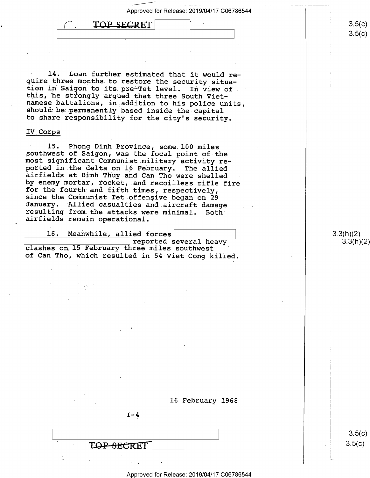

14. Loan further estimated that it would re-<br>quire three months to restore the security situa-<br>tion in Saigon to its pre-Tet level. In view of<br>this, he strongly argued that three South Vietnamese battalions, in addition to his police units, should be permanently based inside the capital to share responsibility for the city!s security.

#### IV Corps

15. Phong Dinh Province, some 100 miles<br>southwest of Saigon, was the focal point of the<br>most significant Communist military activity re-<br>ported in the delta on 16 February. The allied<br>airfields at Binh Thuy and Can Tho wer for the fourth and fifth times, respectively,<br>since the Communist Tet offensive began on 29<br>January. Allied casualties and aircraft damage<br>resulting from the attacks were minimal. Both<br>airfields remain operational.

16. Meanwhile, allied forces and the everal heavy

clashes on 15 February three miles southwest of Can Tho, which resulted in 54 Viet Cong killed.

16 February 1968

 $I-4$ 

TOP SECRET

 $3.5(c)$  $3.5(c)$ 

3.3(h)(2) 3.3(h)(2)

 $3.5(c)$  $3.5 (c)$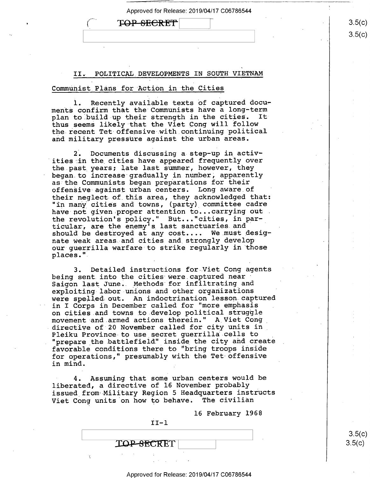# $\textbf{TOP-SECRET}$   $\qquad \qquad \textbf{(3.5(c))}$

II. POLITICAL DEVELOPMENTS IN SOUTH VIETNAM

#### Communist Plans for Action in the Cities

1. Recently available texts of captured documents confirm that the Communists have a long-term plan to build up their strength in the cities. It thus seems likely that the Viet Cong will follow the recent Tet-offensive with continuing political and military pressure against the urban areas.

2. Documents discussing a step—up in\_activ ities in the cities have appeared frequently over the past years; late last summer, however, they began.to increase gradually in.number, apparently as the Communists began preparations for their offensive against urban centers. Long aware of ' their neglect of this area, they acknowledged that: "in many cities and towns, (party) committee cadre have not given proper attention to...carrying out . the revolution's policy." But..."cities, in particular, are the enemy's last sanctuaries and should be destroyed at any cost.... We.must designate weak areas and cities and strongly develop our guerrilla warfare to strike regularly in those places."

3. Detailed instructions for Viet Cong agents being sent into the cities were captured near Saigon last June.. Methods for infiltrating and exploiting-labor-unions and other organizations were spelled out. An indoctrination lesson captured in I Corps in December called for "more emphasis on cities.and towns to develop political struggle movement and armed actions therein." A Viet Cong\_ directive of 20 November called for city units in\_ Pleiku Province to use secret guerrilla cells to "prepare the battlefield" inside the city and create favorable conditions there to "bring troops inside for operations," presumably with the Tet offensive in mind.

4. Assuming that some urban centers would be liberated, a directive of 16 November probably issued\_from Military Region 5 Headquarters instructs Viet Cong units on how to behave. The civilian

16 February I968

 $II-1$ 

**TOP-SECRET** 

Approved for Release: 2019/04/17 C06786544

 $3.5(c)$  $3.5(c)$ 

 $3.5(c)$ C<br>C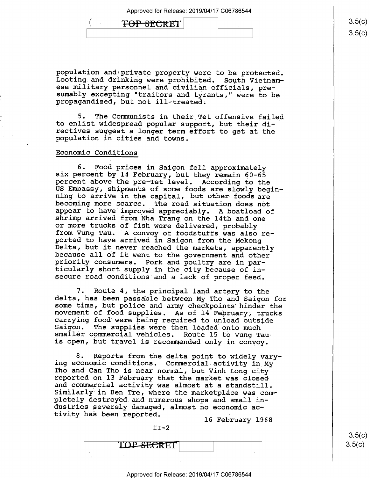# <del>TOP SECRET</del>

population and private property were to be protected.<br>Looting and drinking were prohibited. South Vietnam-<br>ese military personnel and civilian officials, presumably excepting "traitors and tyrants," were to be propagandized, but not ill-treated.

5. The Communists in their Tet offensive failed to enlist widespread popular support, but their directives suggest a longer term effort to get at the population in cities and towns.

#### Economic Conditions

6. Food prices in Saigon fell approximately<br>six percent by 14 February, but they remain 60-65<br>percent above the pre-Tet level. According to the<br>US Embassy, shipments of some foods are slowly begin-<br>ning to arrive in the ca ticularly short supply in the city because of insecure road conditions'and a lack of proper feed.

7. Route 4, the principal land artery to the<br>delta, has been passable between My Tho and Saigon for<br>some time, but police and army checkpoints hinder the<br>movement of food supplies. As of 14 February, trucks<br>carrying food w is open, but travel is recommended only in convoy.

8. Reports from the delta point to widely vary-<br>ing economic conditions. Commercial activity in My<br>Tho and Can Tho is near normal, but Vinh Long city<br>reported on 13 February that the market was closed<br>and commercial activi pletely destroyed and numerous shops and small industries severely damaged, almost no economic activity has been reported. ' l6 February 1968

|                   | To reprudity theo |  |
|-------------------|-------------------|--|
| $IT-2$            |                   |  |
|                   |                   |  |
| <b>TOP-SECRET</b> |                   |  |
|                   |                   |  |
|                   |                   |  |

 $3.5(c)$  $3.5(c)$ 

 $\frac{3.5}{1}$  $\mathcal{L}^{\mathcal{L}}$  $3.5(c)$ )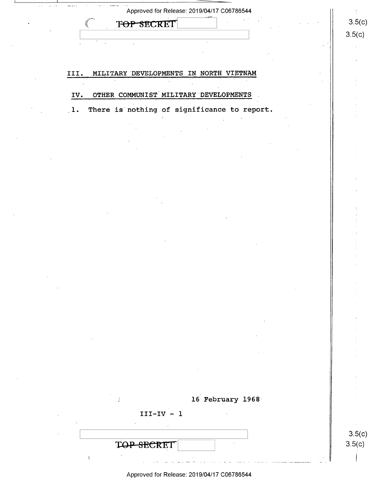| TOP SECRET                                                         | 3.5(c)           |
|--------------------------------------------------------------------|------------------|
|                                                                    | 3.5(c)           |
|                                                                    |                  |
|                                                                    |                  |
| III.<br>MILITARY DEVELOPMENTS IN NORTH VIETNAM                     |                  |
|                                                                    |                  |
| OTHER COMMUNIST MILITARY DEVELOPMENTS<br>IV.                       |                  |
| There is nothing of significance to report.<br>$\lfloor 1 \rfloor$ |                  |
|                                                                    |                  |
|                                                                    |                  |
|                                                                    |                  |
|                                                                    |                  |
|                                                                    |                  |
|                                                                    |                  |
|                                                                    |                  |
|                                                                    |                  |
|                                                                    |                  |
|                                                                    |                  |
|                                                                    |                  |
|                                                                    |                  |
|                                                                    |                  |
|                                                                    |                  |
|                                                                    |                  |
|                                                                    |                  |
|                                                                    |                  |
|                                                                    |                  |
|                                                                    |                  |
|                                                                    |                  |
|                                                                    |                  |
|                                                                    |                  |
| 16 February 1968                                                   |                  |
| $III-IV - 1$                                                       |                  |
|                                                                    |                  |
| TOP SECRET                                                         | 3.5(c)<br>3.5(c) |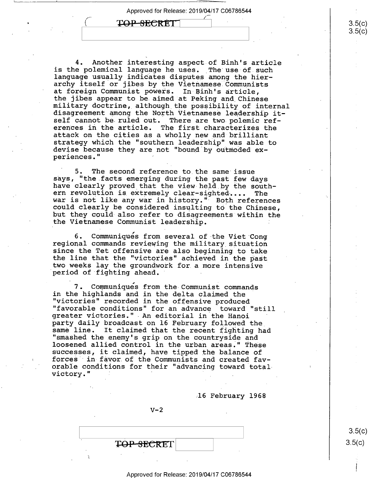Approved for Release: 2019/04/17 C06786544 '

TOP SECRET

4. Another interesting aspect of Binh's article<br>is the polemical language he uses. The use of such language usually indicates disputes among the hierarchy itself or jibes by the Vietnamese Communists<br>at foreign Communist powers. In Binh's article, the jibes appear to be aimed at Peking and Chinese<br>military doctrine, although the possibility of internal<br>disagreement among the North Vietnamese leadership itself cannot be ruled out. There are two polemic references in the article. The first characterizes the attack on the cities as a wholly new and brilliant<br>strategy which the "southern leadership" was able to devise because they are not "bound by outmoded experiences." "

5. The second reference to the same issue<br>says, "the facts emerging during the past few days have clearly proved that the view held by the south-<br>ern revolution is extremely clear-sighted.... The<br>war is not like any war in history." Both references<br>could clearly be considered insulting to the Chinese,<br>but they cou

6. Communiqués from several of the Viet Cong regional commands reviewing the military situation since the Tet offensive are also beginning to take two weeks lay the groundwork for a more intensive period of fighting ahead.

7. Communiques from the Communist commands<br>in the highlands and in the delta claimed the "victories" recorded in the offensive produced<br>"favorable conditions" for an advance toward "still<br>greater victories." An editorial in the Hanoi<br>party daily broadcast on 16 February followed the same line. It claimed that the recent fighting had<br>"smashed the enemy's grip on the countryside and<br>loosened allied control in the urban areas." These<br>successes, it claimed, have tipped the balance of forces in favor of the Communists and created favorable conditions for their "advancing toward total victory." ' '

.16 February 1968

 $V-2$ 

Approved for Release: 2019/04/17 C06786544

 $\begin{bmatrix} 1 & 3.5(C) \end{bmatrix}$  $\text{FOP-SECRET}$  3.5(c)

I

 $3.5(c)$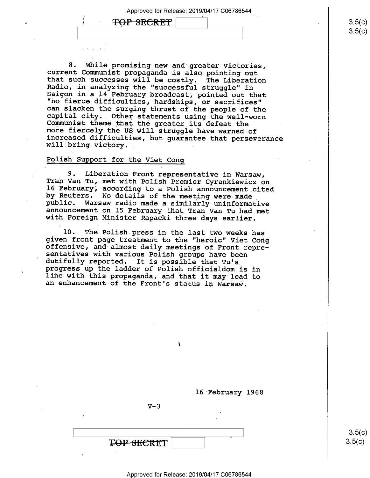TOP SECRET

 $\sim$ , (iii)  $\sim$ , (iii)  $\sim$ , (iii)  $\sim$ , (iii)  $\sim$ , (iii)  $\sim$ , (iii)  $\sim$ , (iii)  $\sim$ , (iii)  $\sim$ , (iii)  $\sim$ , (iii)  $\sim$ , (iii)  $\sim$ , (iii)  $\sim$ , (iii)  $\sim$ , (iii)  $\sim$ , (iii)  $\sim$ , (iii)  $\sim$ , (iii)  $\sim$ , (iii)  $\sim$ ,

8. While promising new and greater victories,<br>current Communist propaganda is also pointing out<br>that such successes will be costly. The Liberation<br>Radio, in analyzing the "successful struggle" in<br>Saigon in a 14 February br

### Polish Support for the Viet Cong

9. Liberation Front representative in Warsaw,<br>Tran Van Tu, met with Polish Premier Cyrankiewicz on<br>16 February, according to a Polish announcement cited<br>by Reuters. No details of the meeting were made<br>public. Warsaw radio

10. The Polish press in the last two weeks has<br>given front page treatment to the "heroic" Viet Cong<br>offensive, and almost daily meetings of Front repre-<br>sentatives with various Polish groups have been<br>dutifully reported. I



16 February 1968

 $V-3$ 

 $3.5(c)$  $3.5(c)$ 

 $3.5(c)$  $3.5(c$